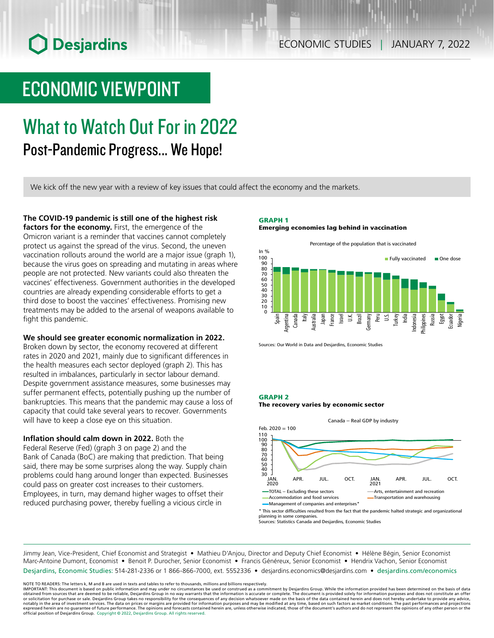# **O** Desjardins

### ECONOMIC STUDIES | JANUARY 7, 2022

## ECONOMIC VIEWPOINT

# What to Watch Out For in 2022

Post-Pandemic Progress... We Hope!

We kick off the new year with a review of key issues that could affect the economy and the markets.

### **The COVID‑19 pandemic is still one of the highest risk**

**factors for the economy.** First, the emergence of the Omicron variant is a reminder that vaccines cannot completely protect us against the spread of the virus. Second, the uneven vaccination rollouts around the world are a major issue (graph 1), because the virus goes on spreading and mutating in areas where people are not protected. New variants could also threaten the vaccines' effectiveness. Government authorities in the developed countries are already expending considerable efforts to get a third dose to boost the vaccines' effectiveness. Promising new treatments may be added to the arsenal of weapons available to fight this pandemic.

#### **We should see greater economic normalization in 2022.**

Broken down by sector, the economy recovered at different rates in 2020 and 2021, mainly due to significant differences in the health measures each sector deployed (graph 2). This has resulted in imbalances, particularly in sector labour demand. Despite government assistance measures, some businesses may suffer permanent effects, potentially pushing up the number of bankruptcies. This means that the pandemic may cause a loss of capacity that could take several years to recover. Governments will have to keep a close eye on this situation.

**Inflation should calm down in 2022.** Both the

Federal Reserve (Fed) (graph 3 on page 2) and the Bank of Canada (BoC) are making that prediction. That being said, there may be some surprises along the way. Supply chain problems could hang around longer than expected. Businesses could pass on greater cost increases to their customers. Employees, in turn, may demand higher wages to offset their reduced purchasing power, thereby fuelling a vicious circle in

#### GRAPH 1 Emerging economies lag behind in vaccination



Sources: Our World in Data and Desjardins, Economic Studies

#### GRAPH 2





planning in some companies. Sources: Statistics Canada and Desjardins, Economic Studies

Jimmy Jean, Vice-President, Chief Economist and Strategist • Mathieu D'Anjou, Director and Deputy Chief Economist • Hélène Bégin, Senior Economist Marc-Antoine Dumont, Economist • Benoit P. Durocher, Senior Economist • Francis Généreux, Senior Economist • Hendrix Vachon, Senior Economist Desjardins, Economic Studies: 514-281-2336 or 1 866-866-7000, ext. 5552336 • desjardins.economics@desjardins.com • desjardins.com/economics

NOTE TO READERS: The letters k, M and B are used in texts and tables to refer to thousands, millions and billions respectively.

IMPORTANT: This document is based on public information and may under no circumstances be used or construed as a commitment by Desjardins Group. While the information provided has been determined on the basis of data<br>obtai or solicitation for purchase or sale. Desjardins Group takes no responsibility for the consequences of any decision whatsoever made on the basis of the data contained herein and does not hereby undertake to provide any adv notably in the area of investment services. The data on prices or margins are provided for information purposes and may be modified at any time, based on such factors as market conditions. The past performances and project official position of Desjardins Group. Copyright © 2022, Desjardins Group. All rights reserved.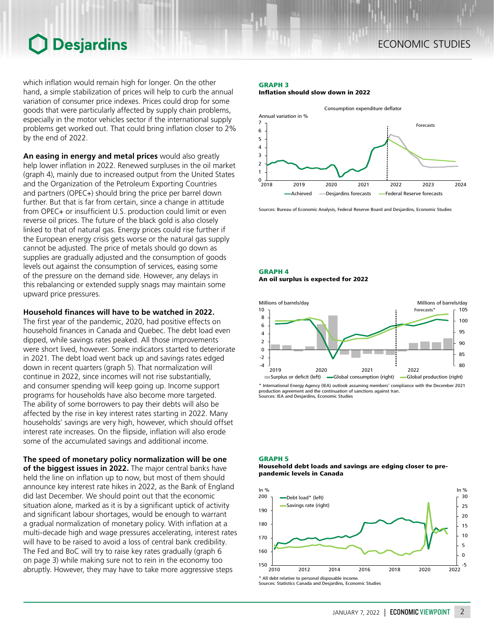### ECONOMIC STUDIES

## **O** Desjardins

which inflation would remain high for longer. On the other hand, a simple stabilization of prices will help to curb the annual variation of consumer price indexes. Prices could drop for some goods that were particularly affected by supply chain problems, especially in the motor vehicles sector if the international supply problems get worked out. That could bring inflation closer to 2% by the end of 2022.

**An easing in energy and metal prices** would also greatly help lower inflation in 2022. Renewed surpluses in the oil market (graph 4), mainly due to increased output from the United States and the Organization of the Petroleum Exporting Countries and partners (OPEC+) should bring the price per barrel down further. But that is far from certain, since a change in attitude from OPEC+ or insufficient U.S. production could limit or even reverse oil prices. The future of the black gold is also closely linked to that of natural gas. Energy prices could rise further if the European energy crisis gets worse or the natural gas supply cannot be adjusted. The price of metals should go down as supplies are gradually adjusted and the consumption of goods levels out against the consumption of services, easing some of the pressure on the demand side. However, any delays in this rebalancing or extended supply snags may maintain some upward price pressures.

#### **Household finances will have to be watched in 2022.**

The first year of the pandemic, 2020, had positive effects on household finances in Canada and Quebec. The debt load even dipped, while savings rates peaked. All those improvements were short lived, however. Some indicators started to deteriorate in 2021. The debt load went back up and savings rates edged down in recent quarters (graph 5). That normalization will continue in 2022, since incomes will not rise substantially, and consumer spending will keep going up. Income support programs for households have also become more targeted. The ability of some borrowers to pay their debts will also be affected by the rise in key interest rates starting in 2022. Many households' savings are very high, however, which should offset interest rate increases. On the flipside, inflation will also erode some of the accumulated savings and additional income.

**The speed of monetary policy normalization will be one of the biggest issues in 2022.** The major central banks have held the line on inflation up to now, but most of them should announce key interest rate hikes in 2022, as the Bank of England did last December. We should point out that the economic situation alone, marked as it is by a significant uptick of activity and significant labour shortages, would be enough to warrant a gradual normalization of monetary policy. With inflation at a multi-decade high and wage pressures accelerating, interest rates will have to be raised to avoid a loss of central bank credibility. The Fed and BoC will try to raise key rates gradually (graph 6 on page 3) while making sure not to rein in the economy too abruptly. However, they may have to take more aggressive steps

#### GRAPH 3

Inflation should slow down in 2022



Sources: Bureau of Economic Analysis, Federal Reserve Board and Desjardins, Economic Studies

#### GRAPH 4 An oil surplus is expected for 2022



\* International Energy Agency (IEA) outlook assuming members' compliance with the December 2021 e continuation of sanctions against Iran Sources: IEA and Desjardins, Economic Studies

#### GRAPH 5

#### Household debt loads and savings are edging closer to prepandemic levels in Canada



Sources: Statistics Canada and Desjardins, Economic Studies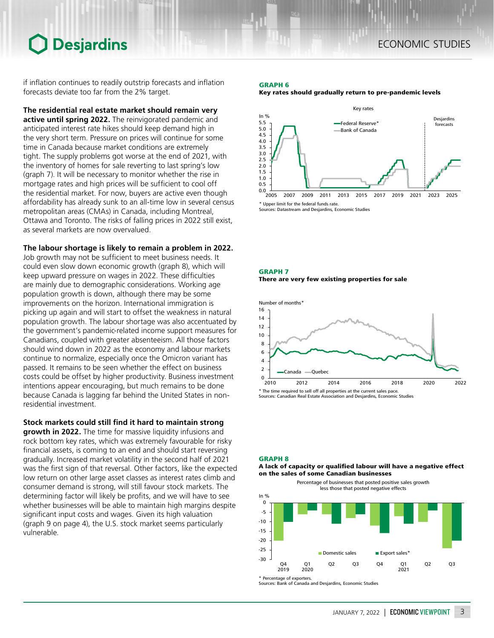## **O** Desjardins

if inflation continues to readily outstrip forecasts and inflation forecasts deviate too far from the 2% target.

**The residential real estate market should remain very active until spring 2022.** The reinvigorated pandemic and anticipated interest rate hikes should keep demand high in the very short term. Pressure on prices will continue for some time in Canada because market conditions are extremely tight. The supply problems got worse at the end of 2021, with the inventory of homes for sale reverting to last spring's low (graph 7). It will be necessary to monitor whether the rise in mortgage rates and high prices will be sufficient to cool off the residential market. For now, buyers are active even though affordability has already sunk to an all-time low in several census metropolitan areas (CMAs) in Canada, including Montreal, Ottawa and Toronto. The risks of falling prices in 2022 still exist, as several markets are now overvalued.

**The labour shortage is likely to remain a problem in 2022.**

Job growth may not be sufficient to meet business needs. It could even slow down economic growth (graph 8), which will keep upward pressure on wages in 2022. These difficulties are mainly due to demographic considerations. Working age population growth is down, although there may be some improvements on the horizon. International immigration is picking up again and will start to offset the weakness in natural population growth. The labour shortage was also accentuated by the government's pandemic-related income support measures for Canadians, coupled with greater absenteeism. All those factors should wind down in 2022 as the economy and labour markets continue to normalize, especially once the Omicron variant has passed. It remains to be seen whether the effect on business costs could be offset by higher productivity. Business investment intentions appear encouraging, but much remains to be done because Canada is lagging far behind the United States in nonresidential investment.

**Stock markets could still find it hard to maintain strong** 

**growth in 2022.** The time for massive liquidity infusions and rock bottom key rates, which was extremely favourable for risky financial assets, is coming to an end and should start reversing gradually. Increased market volatility in the second half of 2021 was the first sign of that reversal. Other factors, like the expected low return on other large asset classes as interest rates climb and consumer demand is strong, will still favour stock markets. The determining factor will likely be profits, and we will have to see whether businesses will be able to maintain high margins despite significant input costs and wages. Given its high valuation (graph 9 on page 4), the U.S. stock market seems particularly vulnerable.

## GRAPH 6





GRAPH 7 There are very few existing properties for sale



Sources: Canadian Real Estate Association and Desjardins, Economic Studies

#### GRAPH 8

A lack of capacity or qualified labour will have a negative effect on the sales of some Canadian businesses

> Percentage of businesses that posted positive sales growth less those that posted negative effects



<sup>\*</sup> Percentage of exporters.

Sources: Bank of Canada and Desjardins, Economic Studies